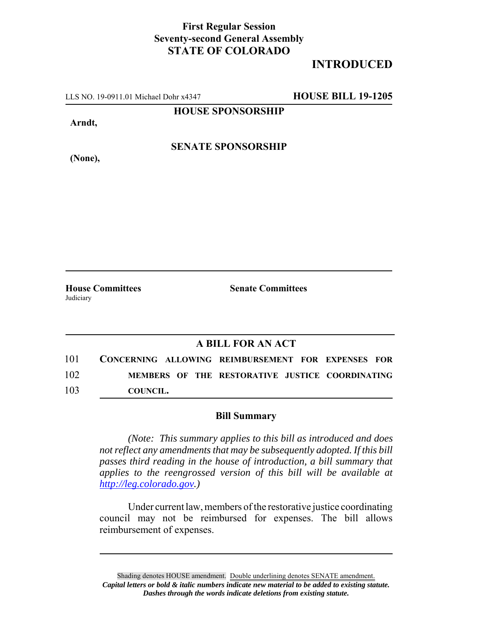## **First Regular Session Seventy-second General Assembly STATE OF COLORADO**

## **INTRODUCED**

LLS NO. 19-0911.01 Michael Dohr x4347 **HOUSE BILL 19-1205**

**HOUSE SPONSORSHIP**

**Arndt,**

**SENATE SPONSORSHIP**

**(None),**

Judiciary

**House Committees Senate Committees**

## **A BILL FOR AN ACT**

101 **CONCERNING ALLOWING REIMBURSEMENT FOR EXPENSES FOR** 102 **MEMBERS OF THE RESTORATIVE JUSTICE COORDINATING** 103 **COUNCIL.**

## **Bill Summary**

*(Note: This summary applies to this bill as introduced and does not reflect any amendments that may be subsequently adopted. If this bill passes third reading in the house of introduction, a bill summary that applies to the reengrossed version of this bill will be available at http://leg.colorado.gov.)*

Under current law, members of the restorative justice coordinating council may not be reimbursed for expenses. The bill allows reimbursement of expenses.

Shading denotes HOUSE amendment. Double underlining denotes SENATE amendment. *Capital letters or bold & italic numbers indicate new material to be added to existing statute. Dashes through the words indicate deletions from existing statute.*